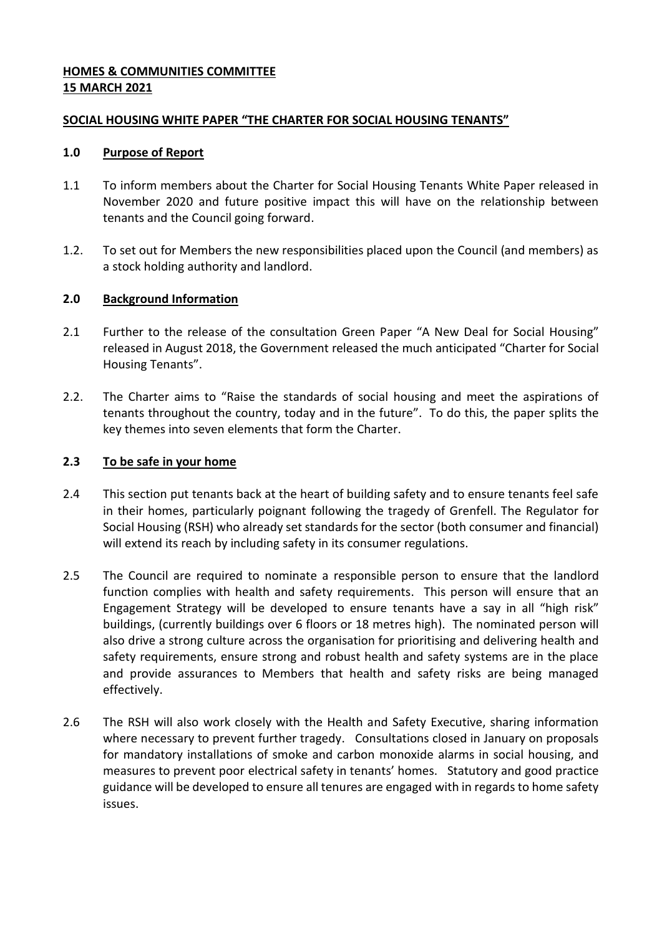### **HOMES & COMMUNITIES COMMITTEE 15 MARCH 2021**

#### **SOCIAL HOUSING WHITE PAPER "THE CHARTER FOR SOCIAL HOUSING TENANTS"**

#### **1.0 Purpose of Report**

- 1.1 To inform members about the Charter for Social Housing Tenants White Paper released in November 2020 and future positive impact this will have on the relationship between tenants and the Council going forward.
- 1.2. To set out for Members the new responsibilities placed upon the Council (and members) as a stock holding authority and landlord.

### **2.0 Background Information**

- 2.1 Further to the release of the consultation Green Paper "A New Deal for Social Housing" released in August 2018, the Government released the much anticipated "Charter for Social Housing Tenants".
- 2.2. The Charter aims to "Raise the standards of social housing and meet the aspirations of tenants throughout the country, today and in the future". To do this, the paper splits the key themes into seven elements that form the Charter.

### **2.3 To be safe in your home**

- 2.4 This section put tenants back at the heart of building safety and to ensure tenants feel safe in their homes, particularly poignant following the tragedy of Grenfell. The Regulator for Social Housing (RSH) who already set standards for the sector (both consumer and financial) will extend its reach by including safety in its consumer regulations.
- 2.5 The Council are required to nominate a responsible person to ensure that the landlord function complies with health and safety requirements. This person will ensure that an Engagement Strategy will be developed to ensure tenants have a say in all "high risk" buildings, (currently buildings over 6 floors or 18 metres high). The nominated person will also drive a strong culture across the organisation for prioritising and delivering health and safety requirements, ensure strong and robust health and safety systems are in the place and provide assurances to Members that health and safety risks are being managed effectively.
- 2.6 The RSH will also work closely with the Health and Safety Executive, sharing information where necessary to prevent further tragedy. Consultations closed in January on proposals for mandatory installations of smoke and carbon monoxide alarms in social housing, and measures to prevent poor electrical safety in tenants' homes. Statutory and good practice guidance will be developed to ensure all tenures are engaged with in regards to home safety issues.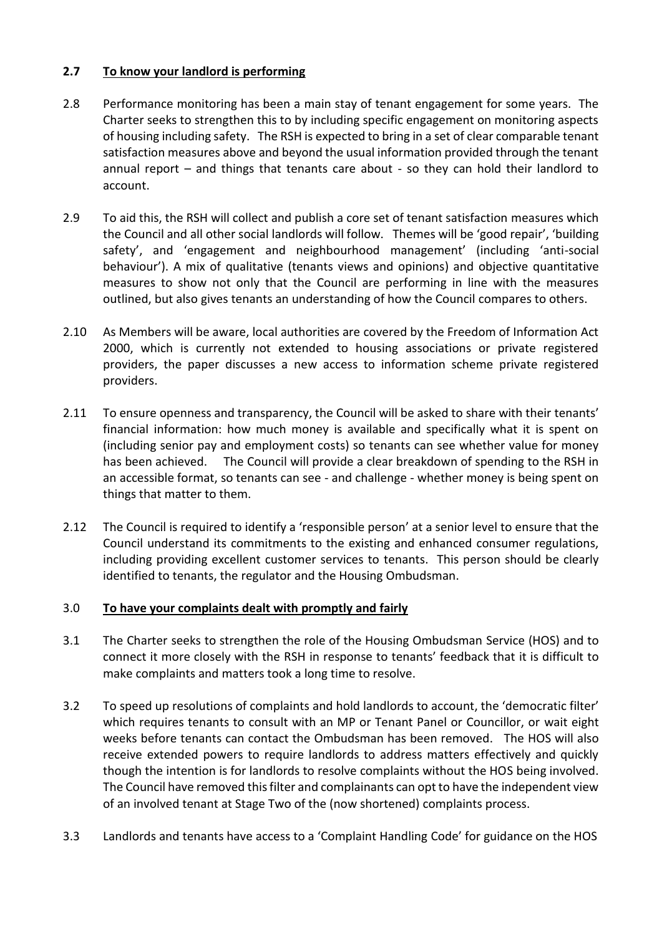# **2.7 To know your landlord is performing**

- 2.8 Performance monitoring has been a main stay of tenant engagement for some years. The Charter seeks to strengthen this to by including specific engagement on monitoring aspects of housing including safety. The RSH is expected to bring in a set of clear comparable tenant satisfaction measures above and beyond the usual information provided through the tenant annual report – and things that tenants care about - so they can hold their landlord to account.
- 2.9 To aid this, the RSH will collect and publish a core set of tenant satisfaction measures which the Council and all other social landlords will follow. Themes will be 'good repair', 'building safety', and 'engagement and neighbourhood management' (including 'anti-social behaviour'). A mix of qualitative (tenants views and opinions) and objective quantitative measures to show not only that the Council are performing in line with the measures outlined, but also gives tenants an understanding of how the Council compares to others.
- 2.10 As Members will be aware, local authorities are covered by the Freedom of Information Act 2000, which is currently not extended to housing associations or private registered providers, the paper discusses a new access to information scheme private registered providers.
- 2.11 To ensure openness and transparency, the Council will be asked to share with their tenants' financial information: how much money is available and specifically what it is spent on (including senior pay and employment costs) so tenants can see whether value for money has been achieved. The Council will provide a clear breakdown of spending to the RSH in an accessible format, so tenants can see - and challenge - whether money is being spent on things that matter to them.
- 2.12 The Council is required to identify a 'responsible person' at a senior level to ensure that the Council understand its commitments to the existing and enhanced consumer regulations, including providing excellent customer services to tenants. This person should be clearly identified to tenants, the regulator and the Housing Ombudsman.

#### 3.0 **To have your complaints dealt with promptly and fairly**

- 3.1 The Charter seeks to strengthen the role of the Housing Ombudsman Service (HOS) and to connect it more closely with the RSH in response to tenants' feedback that it is difficult to make complaints and matters took a long time to resolve.
- 3.2 To speed up resolutions of complaints and hold landlords to account, the 'democratic filter' which requires tenants to consult with an MP or Tenant Panel or Councillor, or wait eight weeks before tenants can contact the Ombudsman has been removed. The HOS will also receive extended powers to require landlords to address matters effectively and quickly though the intention is for landlords to resolve complaints without the HOS being involved. The Council have removed this filter and complainants can opt to have the independent view of an involved tenant at Stage Two of the (now shortened) complaints process.
- 3.3 Landlords and tenants have access to a 'Complaint Handling Code' for guidance on the HOS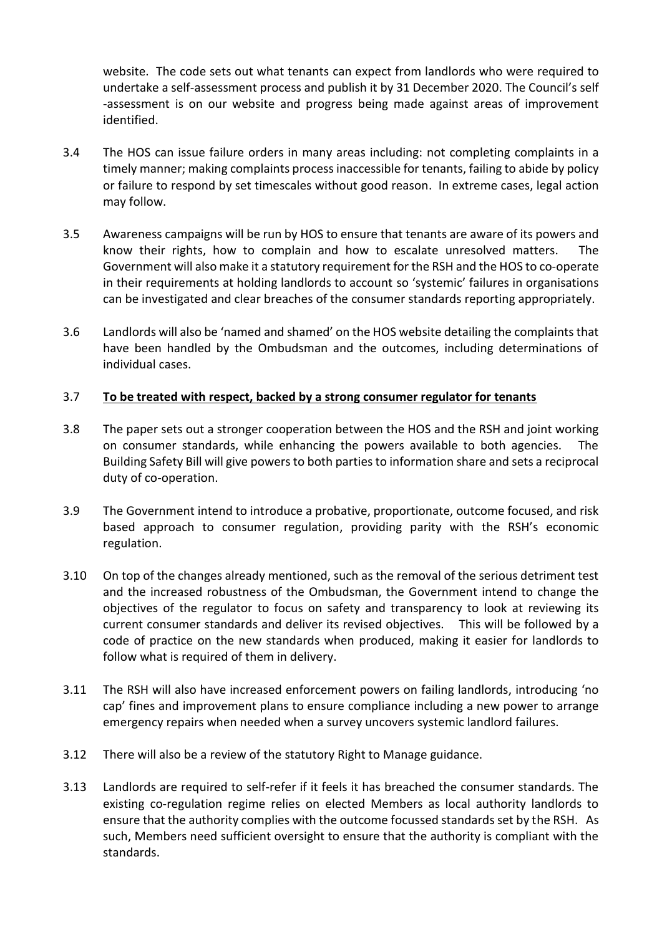website. The code sets out what tenants can expect from landlords who were required to undertake a self-assessment process and publish it by 31 December 2020. The Council's self -assessment is on our website and progress being made against areas of improvement identified.

- 3.4 The HOS can issue failure orders in many areas including: not completing complaints in a timely manner; making complaints process inaccessible for tenants, failing to abide by policy or failure to respond by set timescales without good reason. In extreme cases, legal action may follow.
- 3.5 Awareness campaigns will be run by HOS to ensure that tenants are aware of its powers and know their rights, how to complain and how to escalate unresolved matters. The Government will also make it a statutory requirement for the RSH and the HOS to co-operate in their requirements at holding landlords to account so 'systemic' failures in organisations can be investigated and clear breaches of the consumer standards reporting appropriately.
- 3.6 Landlords will also be 'named and shamed' on the HOS website detailing the complaints that have been handled by the Ombudsman and the outcomes, including determinations of individual cases.

### 3.7 **To be treated with respect, backed by a strong consumer regulator for tenants**

- 3.8 The paper sets out a stronger cooperation between the HOS and the RSH and joint working on consumer standards, while enhancing the powers available to both agencies. The Building Safety Bill will give powers to both parties to information share and sets a reciprocal duty of co-operation.
- 3.9 The Government intend to introduce a probative, proportionate, outcome focused, and risk based approach to consumer regulation, providing parity with the RSH's economic regulation.
- 3.10 On top of the changes already mentioned, such as the removal of the serious detriment test and the increased robustness of the Ombudsman, the Government intend to change the objectives of the regulator to focus on safety and transparency to look at reviewing its current consumer standards and deliver its revised objectives. This will be followed by a code of practice on the new standards when produced, making it easier for landlords to follow what is required of them in delivery.
- 3.11 The RSH will also have increased enforcement powers on failing landlords, introducing 'no cap' fines and improvement plans to ensure compliance including a new power to arrange emergency repairs when needed when a survey uncovers systemic landlord failures.
- 3.12 There will also be a review of the statutory Right to Manage guidance.
- 3.13 Landlords are required to self-refer if it feels it has breached the consumer standards. The existing co-regulation regime relies on elected Members as local authority landlords to ensure that the authority complies with the outcome focussed standards set by the RSH. As such, Members need sufficient oversight to ensure that the authority is compliant with the standards.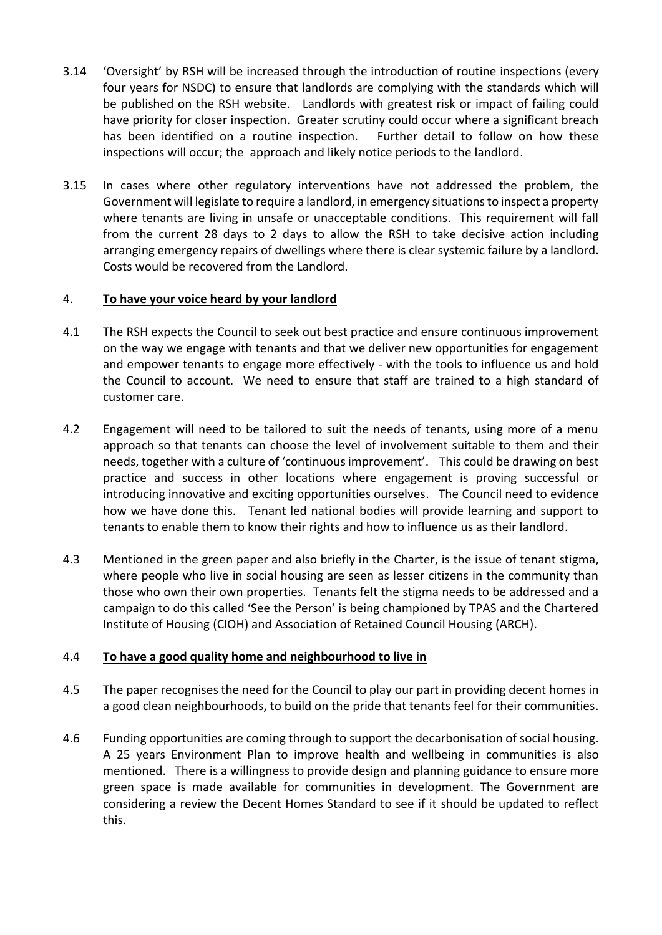- 3.14 'Oversight' by RSH will be increased through the introduction of routine inspections (every four years for NSDC) to ensure that landlords are complying with the standards which will be published on the RSH website. Landlords with greatest risk or impact of failing could have priority for closer inspection. Greater scrutiny could occur where a significant breach has been identified on a routine inspection. Further detail to follow on how these inspections will occur; the approach and likely notice periods to the landlord.
- 3.15 In cases where other regulatory interventions have not addressed the problem, the Government will legislate to require a landlord, in emergency situations to inspect a property where tenants are living in unsafe or unacceptable conditions. This requirement will fall from the current 28 days to 2 days to allow the RSH to take decisive action including arranging emergency repairs of dwellings where there is clear systemic failure by a landlord. Costs would be recovered from the Landlord.

# 4. **To have your voice heard by your landlord**

- 4.1 The RSH expects the Council to seek out best practice and ensure continuous improvement on the way we engage with tenants and that we deliver new opportunities for engagement and empower tenants to engage more effectively - with the tools to influence us and hold the Council to account. We need to ensure that staff are trained to a high standard of customer care.
- 4.2 Engagement will need to be tailored to suit the needs of tenants, using more of a menu approach so that tenants can choose the level of involvement suitable to them and their needs, together with a culture of 'continuous improvement'. This could be drawing on best practice and success in other locations where engagement is proving successful or introducing innovative and exciting opportunities ourselves. The Council need to evidence how we have done this. Tenant led national bodies will provide learning and support to tenants to enable them to know their rights and how to influence us as their landlord.
- 4.3 Mentioned in the green paper and also briefly in the Charter, is the issue of tenant stigma, where people who live in social housing are seen as lesser citizens in the community than those who own their own properties. Tenants felt the stigma needs to be addressed and a campaign to do this called 'See the Person' is being championed by TPAS and the Chartered Institute of Housing (CIOH) and Association of Retained Council Housing (ARCH).

# 4.4 **To have a good quality home and neighbourhood to live in**

- 4.5 The paper recognises the need for the Council to play our part in providing decent homes in a good clean neighbourhoods, to build on the pride that tenants feel for their communities.
- 4.6 Funding opportunities are coming through to support the decarbonisation of social housing. A 25 years Environment Plan to improve health and wellbeing in communities is also mentioned. There is a willingness to provide design and planning guidance to ensure more green space is made available for communities in development. The Government are considering a review the Decent Homes Standard to see if it should be updated to reflect this.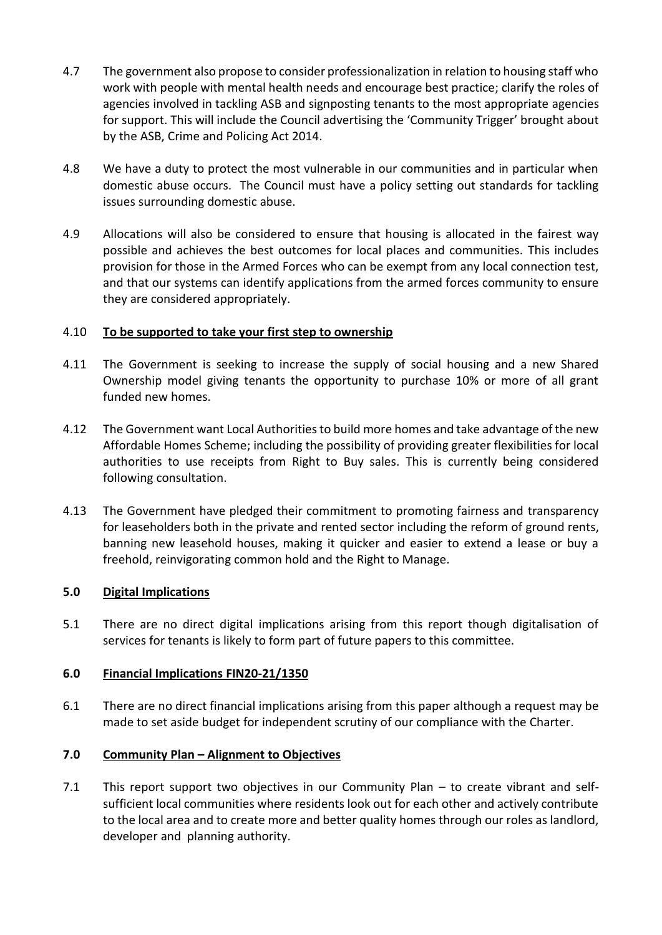- 4.7 The government also propose to consider professionalization in relation to housing staff who work with people with mental health needs and encourage best practice; clarify the roles of agencies involved in tackling ASB and signposting tenants to the most appropriate agencies for support. This will include the Council advertising the 'Community Trigger' brought about by the ASB, Crime and Policing Act 2014.
- 4.8 We have a duty to protect the most vulnerable in our communities and in particular when domestic abuse occurs. The Council must have a policy setting out standards for tackling issues surrounding domestic abuse.
- 4.9 Allocations will also be considered to ensure that housing is allocated in the fairest way possible and achieves the best outcomes for local places and communities. This includes provision for those in the Armed Forces who can be exempt from any local connection test, and that our systems can identify applications from the armed forces community to ensure they are considered appropriately.

### 4.10 **To be supported to take your first step to ownership**

- 4.11 The Government is seeking to increase the supply of social housing and a new Shared Ownership model giving tenants the opportunity to purchase 10% or more of all grant funded new homes.
- 4.12 The Government want Local Authorities to build more homes and take advantage of the new Affordable Homes Scheme; including the possibility of providing greater flexibilities for local authorities to use receipts from Right to Buy sales. This is currently being considered following consultation.
- 4.13 The Government have pledged their commitment to promoting fairness and transparency for leaseholders both in the private and rented sector including the reform of ground rents, banning new leasehold houses, making it quicker and easier to extend a lease or buy a freehold, reinvigorating common hold and the Right to Manage.

# **5.0 Digital Implications**

5.1 There are no direct digital implications arising from this report though digitalisation of services for tenants is likely to form part of future papers to this committee.

# **6.0 Financial Implications FIN20-21/1350**

6.1 There are no direct financial implications arising from this paper although a request may be made to set aside budget for independent scrutiny of our compliance with the Charter.

# **7.0 Community Plan – Alignment to Objectives**

7.1 This report support two objectives in our Community Plan – to create vibrant and selfsufficient local communities where residents look out for each other and actively contribute to the local area and to create more and better quality homes through our roles as landlord, developer and planning authority.